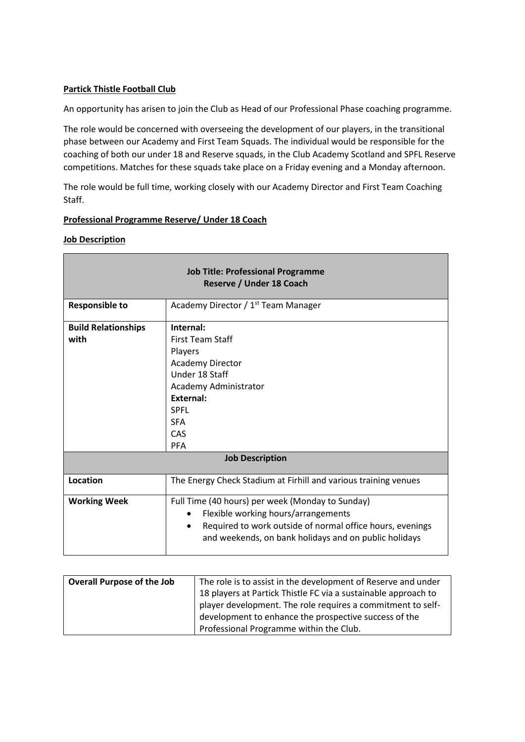## **Partick Thistle Football Club**

An opportunity has arisen to join the Club as Head of our Professional Phase coaching programme.

The role would be concerned with overseeing the development of our players, in the transitional phase between our Academy and First Team Squads. The individual would be responsible for the coaching of both our under 18 and Reserve squads, in the Club Academy Scotland and SPFL Reserve competitions. Matches for these squads take place on a Friday evening and a Monday afternoon.

The role would be full time, working closely with our Academy Director and First Team Coaching Staff.

## **Professional Programme Reserve/ Under 18 Coach**

## **Job Description**

| <b>Job Title: Professional Programme</b><br>Reserve / Under 18 Coach |                                                                                                                                                                                                                                         |  |
|----------------------------------------------------------------------|-----------------------------------------------------------------------------------------------------------------------------------------------------------------------------------------------------------------------------------------|--|
| <b>Responsible to</b>                                                | Academy Director / 1 <sup>st</sup> Team Manager                                                                                                                                                                                         |  |
| <b>Build Relationships</b><br>with                                   | Internal:<br><b>First Team Staff</b><br>Players<br><b>Academy Director</b><br>Under 18 Staff<br>Academy Administrator<br><b>External:</b><br><b>SPFL</b><br><b>SFA</b><br>CAS                                                           |  |
| <b>PFA</b><br><b>Job Description</b>                                 |                                                                                                                                                                                                                                         |  |
| Location                                                             | The Energy Check Stadium at Firhill and various training venues                                                                                                                                                                         |  |
| <b>Working Week</b>                                                  | Full Time (40 hours) per week (Monday to Sunday)<br>Flexible working hours/arrangements<br>$\bullet$<br>Required to work outside of normal office hours, evenings<br>$\bullet$<br>and weekends, on bank holidays and on public holidays |  |

| <b>Overall Purpose of the Job</b> | The role is to assist in the development of Reserve and under  |
|-----------------------------------|----------------------------------------------------------------|
|                                   | 18 players at Partick Thistle FC via a sustainable approach to |
|                                   | player development. The role requires a commitment to self-    |
|                                   | development to enhance the prospective success of the          |
|                                   | Professional Programme within the Club.                        |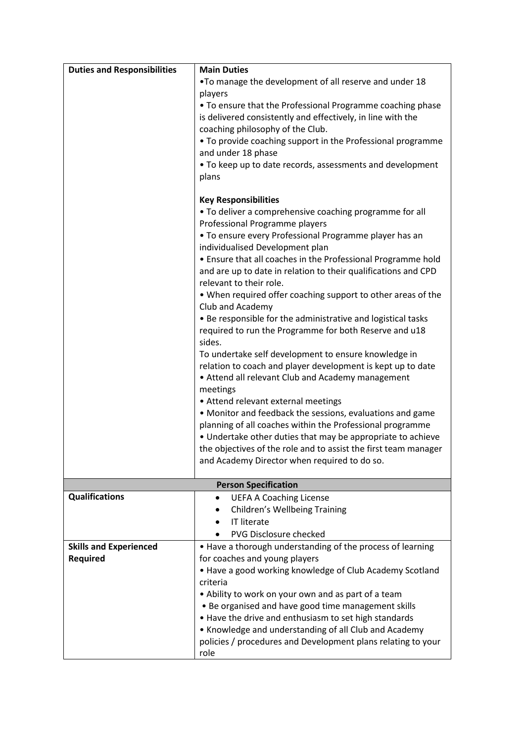| <b>Duties and Responsibilities</b>               | <b>Main Duties</b>                                                                          |
|--------------------------------------------------|---------------------------------------------------------------------------------------------|
|                                                  | . To manage the development of all reserve and under 18                                     |
|                                                  | players                                                                                     |
|                                                  | • To ensure that the Professional Programme coaching phase                                  |
|                                                  | is delivered consistently and effectively, in line with the                                 |
|                                                  | coaching philosophy of the Club.                                                            |
|                                                  | • To provide coaching support in the Professional programme                                 |
|                                                  | and under 18 phase                                                                          |
|                                                  | • To keep up to date records, assessments and development                                   |
|                                                  | plans                                                                                       |
|                                                  |                                                                                             |
|                                                  | <b>Key Responsibilities</b>                                                                 |
|                                                  | . To deliver a comprehensive coaching programme for all                                     |
|                                                  | Professional Programme players                                                              |
|                                                  | . To ensure every Professional Programme player has an                                      |
|                                                  | individualised Development plan                                                             |
|                                                  | • Ensure that all coaches in the Professional Programme hold                                |
|                                                  | and are up to date in relation to their qualifications and CPD                              |
|                                                  | relevant to their role.                                                                     |
|                                                  | . When required offer coaching support to other areas of the                                |
|                                                  | Club and Academy                                                                            |
|                                                  | • Be responsible for the administrative and logistical tasks                                |
|                                                  | required to run the Programme for both Reserve and u18                                      |
|                                                  | sides.                                                                                      |
|                                                  | To undertake self development to ensure knowledge in                                        |
|                                                  | relation to coach and player development is kept up to date                                 |
|                                                  | • Attend all relevant Club and Academy management                                           |
|                                                  | meetings                                                                                    |
|                                                  | • Attend relevant external meetings                                                         |
|                                                  | • Monitor and feedback the sessions, evaluations and game                                   |
|                                                  | planning of all coaches within the Professional programme                                   |
|                                                  | • Undertake other duties that may be appropriate to achieve                                 |
|                                                  | the objectives of the role and to assist the first team manager                             |
|                                                  |                                                                                             |
|                                                  | and Academy Director when required to do so.                                                |
|                                                  | <b>Person Specification</b>                                                                 |
| <b>Qualifications</b>                            | <b>UEFA A Coaching License</b>                                                              |
|                                                  | <b>Children's Wellbeing Training</b>                                                        |
|                                                  | <b>IT literate</b>                                                                          |
|                                                  | <b>PVG Disclosure checked</b>                                                               |
|                                                  |                                                                                             |
| <b>Skills and Experienced</b><br><b>Required</b> | • Have a thorough understanding of the process of learning<br>for coaches and young players |
|                                                  | • Have a good working knowledge of Club Academy Scotland                                    |
|                                                  |                                                                                             |
|                                                  | criteria                                                                                    |
|                                                  | • Ability to work on your own and as part of a team                                         |
|                                                  | • Be organised and have good time management skills                                         |
|                                                  | • Have the drive and enthusiasm to set high standards                                       |
|                                                  | • Knowledge and understanding of all Club and Academy                                       |
|                                                  | policies / procedures and Development plans relating to your                                |
|                                                  | role                                                                                        |